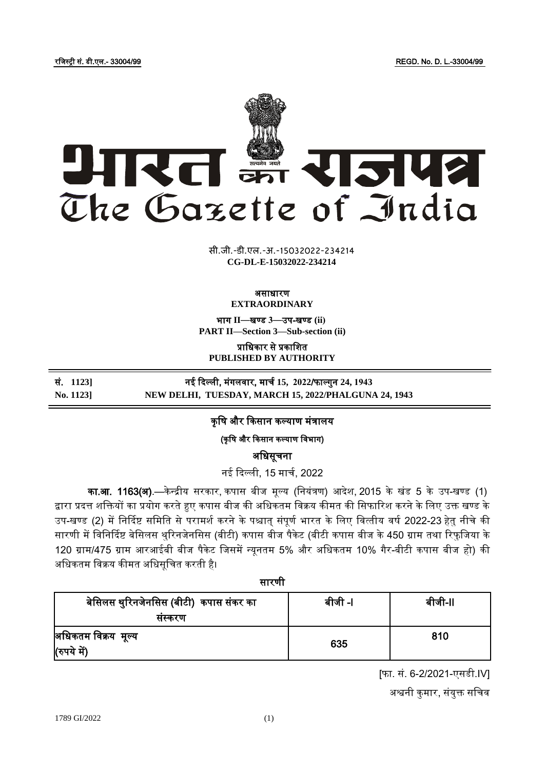रजिस्ट्री सं. डी.एल.- 33004/99 REGD. No. D. L.-33004/99



**xxxGIDHxxx xxx**GIDE**xxx CG-DL-E-15032022-234214**सी.जी.-डी.एल.-अ.-15032022-234214

#### असाधारण **EXTRAORDINARY**

भाग **II**—खण् ड **3**—उप-खण् ड **(ii) PART II—Section 3—Sub-section (ii)**

प्राजधकार से प्रकाजित **PUBLISHED BY AUTHORITY**

सं. **1123]** नई कदल्ली, मंगलिार, माचच **15, 2022**/फाल् गुन **24, 1943 No. 1123] NEW DELHI, TUESDAY, MARCH 15, 2022/PHALGUNA 24, 1943**

# कृषि और किसान कल्याण मंत्रालय

(कृषि और किसान कल्याण विभाग)

अजधसूचना

नई कदल्ली, 15 माचच, 2022

का.आ. 1163(अ).—केन्द्रीय सरकार, कपास बीज मूल्य (नियंत्रण) आदेश, 2015 के खंड 5 के उप-खण्ड (1) द्वारा प्रदत्त शक्तियों का प्रयोग करते हुए कपास बीज की अधिकतम विक्रय कीमत की सिफारिश करने के लिए उक्त खण्ड के उप-खण्ड (2) में निर्दिष्ट समिति से परामर्श करने के पश्चात संपर्ण भारत के लिए वित्तीय वर्ष 2022-23 हेतु नीचे की सारणी में विनिर्दिष्ट बेसिलस थुरिनजेनसिस (बीटी) कपास बीज पैकेट (बीटी कपास बीज के 450 ग्राम तथा रिफुजिया के 120 ग्राम/475 ग्राम आरआईबी बीज पैकेट जिसमें न्युनतम 5% और अधिकतम 10% गैर-बीटी कपास बीज हो) की अधिकतम विक्रय कीमत अधिसूचित करती है।

# सारणी

| बेसिलस थुरिनजेनसिस (बीटी)  कपास संकर का<br>सस्करण | बीजी -l | बीजी-II |
|---------------------------------------------------|---------|---------|
| अधिकतम विक्रय मूल्य<br>(रुपये में)                | 635     | 810     |

[फा. सं. 6-2/2021-एसडी.IV]

अश्वनी कुमार, संयुक्त सचिव